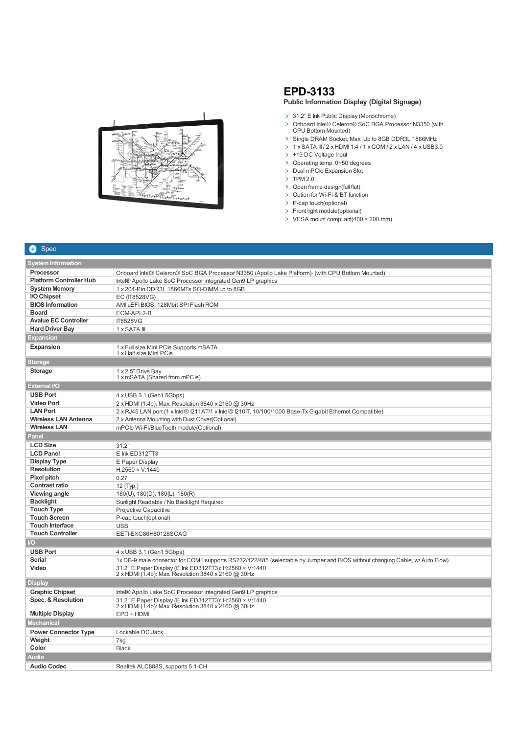

## **EPD-3133 Public Information Display (Digital Signage)**

- > 31.2" E Ink Public Display (Monochrome)
- > Onboard Intel® Celeron® SoC BGA Processor N3350 (with CPU Bottom Mounted)
- > Single DRAM Socket, Max. Up to 8GB DDR3L 1866MHz
- $\rightarrow$  1 x SATA III / 2 x HDMI 1.4 / 1 x COM / 2 x LAN / 4 x USB3.0
- > +19 DC Voltage Input
- > Operating temp. 0~50 degrees
- > Dual mPCIe Expansion Slot
- $\triangleright$  TPM 2.0
- > Open frame design(full flat)
- > Option for Wi-Fi & BT function
- > P-cap touch(optional)
- > Front light module(optional)
- VESA mount compliant(400 × 200 mm)

| T+1 | <b>Spec</b> |
|-----|-------------|
|     |             |

| <b>System Information</b>      |                                                                                                                             |  |
|--------------------------------|-----------------------------------------------------------------------------------------------------------------------------|--|
| Processor                      | Onboard Intel® Celeron® SoC BGA Processor N3350 (Apollo Lake Platform)- (with CPU Bottom Mounted)                           |  |
| <b>Platform Controller Hub</b> | Intel® Apollo Lake SoC Processor integrated Gen9 LP graphics                                                                |  |
| <b>System Memory</b>           | 1 x 204-Pin DDR3L 1866MTs SO-DIMM up to 8GB                                                                                 |  |
| I/O Chipset                    | EC (IT8528VG)                                                                                                               |  |
| <b>BIOS</b> Information        | AMI uEFI BIOS, 128Mbit SPI Flash ROM                                                                                        |  |
| <b>Board</b>                   | ECM-APL2-B                                                                                                                  |  |
| <b>Avalue EC Controller</b>    | <b>IT8528VG</b>                                                                                                             |  |
| <b>Hard Driver Bay</b>         | 1 x SATA III                                                                                                                |  |
| <b>Expansion</b>               |                                                                                                                             |  |
| <b>Expansion</b>               | 1 x Full size Mini PCIe Supports mSATA<br>1 x Half size Mini PCle                                                           |  |
| <b>Storage</b>                 |                                                                                                                             |  |
| <b>Storage</b>                 | 1 x 2.5" Drive Bay<br>1 x mSATA (Shared from mPCle)                                                                         |  |
| <b>External I/O</b>            |                                                                                                                             |  |
| <b>USB Port</b>                | 4 x USB 3.1 (Gen1 5Gbps)                                                                                                    |  |
| <b>Video Port</b>              | 2 x HDMI (1.4b): Max. Resolution 3840 x 2160 @ 30Hz                                                                         |  |
| <b>LAN Port</b>                | 2 x RJ45 LAN port (1 x Intel® I211AT/1 x Intel® I210IT, 10/100/1000 Base-Tx Gigabit Ethernet Compatible)                    |  |
| <b>Wireless LAN Antenna</b>    | 2 x Antenna Mounting with Dust Cover(Optional)                                                                              |  |
| <b>Wireless LAN</b>            | mPCle Wi-Fi/BlueTooth module(Optional)                                                                                      |  |
| Panel                          |                                                                                                                             |  |
| <b>LCD Size</b>                | 31.2"                                                                                                                       |  |
| <b>LCD Panel</b>               | E Ink ED312TT3                                                                                                              |  |
| <b>Display Type</b>            | E Paper Display                                                                                                             |  |
| <b>Resolution</b>              | $H:2560 \times V:1440$                                                                                                      |  |
| Pixel pitch                    | 0.27                                                                                                                        |  |
| <b>Contrast ratio</b>          | 12 (Typ.)                                                                                                                   |  |
| Viewing angle                  | 180(U), 180(D), 180(L), 180(R)                                                                                              |  |
| <b>Backlight</b>               | Sunlight Readable / No Backlight Required                                                                                   |  |
| <b>Touch Type</b>              | Projective Capacitive                                                                                                       |  |
| <b>Touch Screen</b>            | P-cap touch(optional)                                                                                                       |  |
| <b>Touch Interface</b>         | <b>USB</b>                                                                                                                  |  |
| <b>Touch Controller</b>        | EETI-EXC86H80128SCAG                                                                                                        |  |
| $\overline{1}/\overline{O}$    |                                                                                                                             |  |
| <b>USB Port</b>                | 4 x USB 3.1 (Gen1 5Gbps)                                                                                                    |  |
| <b>Serial</b>                  | 1x DB-9 male connector for COM1 supports RS232/422/485 (selectable by Jumper and BIOS without changing Cable, w/ Auto Flow) |  |
| Video                          | 31.2" E Paper Display (E Ink ED312TT3): H:2560 x V:1440<br>2 x HDMI (1.4b): Max. Resolution 3840 x 2160 @ 30Hz              |  |
| <b>Display</b>                 |                                                                                                                             |  |
| <b>Graphic Chipset</b>         | Intel® Apollo Lake SoC Processor integrated Gen9 LP graphics                                                                |  |
| Spec. & Resolution             | 31.2" E Paper Display (E Ink ED312TT3): H:2560 × V:1440<br>2 x HDMI (1.4b): Max. Resolution 3840 x 2160 @ 30Hz              |  |
| <b>Multiple Display</b>        | EPD + HDMI                                                                                                                  |  |
| <b>Mechanical</b>              |                                                                                                                             |  |
| <b>Power Connector Type</b>    | Lockable DC Jack                                                                                                            |  |
| Weight                         | 7kg                                                                                                                         |  |
| Color                          | <b>Black</b>                                                                                                                |  |
| <b>Audio</b>                   |                                                                                                                             |  |
| <b>Audio Codec</b>             | Realtek ALC888S, supports 5.1-CH                                                                                            |  |